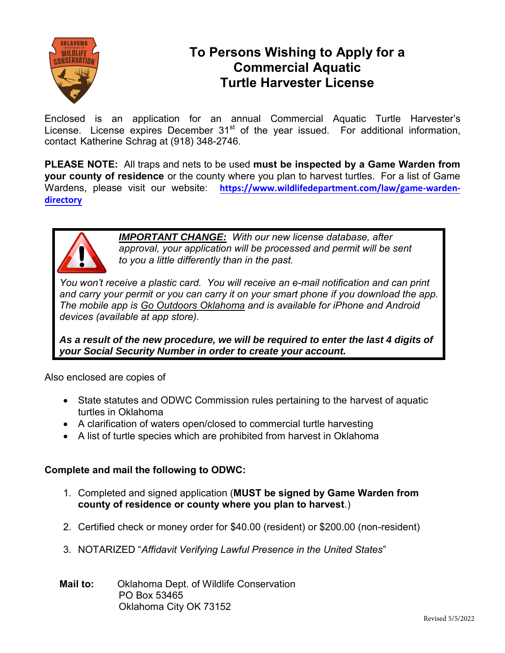

### **To Persons Wishing to Apply for a Commercial Aquatic Turtle Harvester License**

Enclosed is an application for an annual Commercial Aquatic Turtle Harvester's License. License expires December  $31<sup>st</sup>$  of the year issued. For additional information, contact Katherine Schrag at (918) 348-2746.

**PLEASE NOTE:** All traps and nets to be used **must be inspected by a Game Warden from your county of residence** or the county where you plan to harvest turtles. For a list of Game Wardens, please visit our website: [https://www.wildlifedepartment.com/law/game-warden](https://www.wildlifedepartment.com/law/game-warden-directory)**[directory](https://www.wildlifedepartment.com/law/game-warden-directory)**



*IMPORTANT CHANGE: With our new license database, after approval, your application will be processed and permit will be sent to you a little differently than in the past.* 

*You won't receive a plastic card. You will receive an e-mail notification and can print and carry your permit or you can carry it on your smart phone if you download the app. The mobile app is Go Outdoors Oklahoma and is available for iPhone and Android devices (available at app store).* 

*As a result of the new procedure, we will be required to enter the last 4 digits of your Social Security Number in order to create your account.* 

Also enclosed are copies of

- State statutes and ODWC Commission rules pertaining to the harvest of aquatic turtles in Oklahoma
- A clarification of waters open/closed to commercial turtle harvesting
- A list of turtle species which are prohibited from harvest in Oklahoma

### **Complete and mail the following to ODWC:**

- 1. Completed and signed application (**MUST be signed by Game Warden from county of residence or county where you plan to harvest**.)
- 2. Certified check or money order for \$40.00 (resident) or \$200.00 (non-resident)
- 3. NOTARIZED "*Affidavit Verifying Lawful Presence in the United States*"
- **Mail to:** Oklahoma Dept. of Wildlife Conservation PO Box 53465 Oklahoma City OK 73152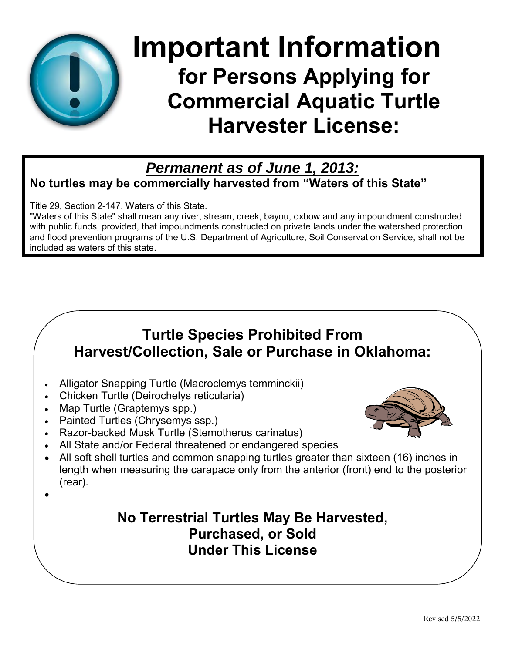

# **Important Information for Persons Applying for Commercial Aquatic Turtle Harvester License:**

### *Permanent as of June 1, 2013:*

**No turtles may be commercially harvested from "Waters of this State"** 

Title 29, Section 2-147. Waters of this State.

"Waters of this State" shall mean any river, stream, creek, bayou, oxbow and any impoundment constructed with public funds, provided, that impoundments constructed on private lands under the watershed protection and flood prevention programs of the U.S. Department of Agriculture, Soil Conservation Service, shall not be included as waters of this state.

## **Turtle Species Prohibited From Harvest/Collection, Sale or Purchase in Oklahoma:**

- Alligator Snapping Turtle (Macroclemys temminckii)
- Chicken Turtle (Deirochelys reticularia)
- Map Turtle (Graptemys spp.)
- Painted Turtles (Chrysemys ssp.)
- Razor-backed Musk Turtle (Stemotherus carinatus)
- All State and/or Federal threatened or endangered species
- All soft shell turtles and common snapping turtles greater than sixteen (16) inches in length when measuring the carapace only from the anterior (front) end to the posterior (rear).
- $\bullet$

### **No Terrestrial Turtles May Be Harvested, Purchased, or Sold Under This License**

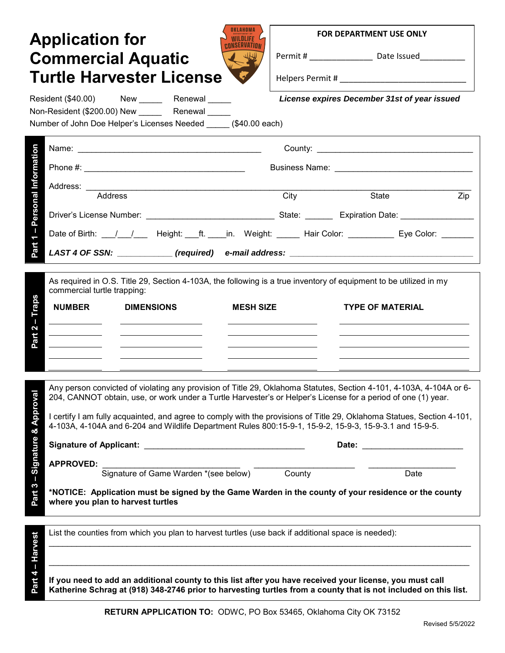|                                                                                                                                                                                                    | <b>Application for</b><br><b>Commercial Aquatic</b><br><b>Turtle Harvester License</b>                                                                                                                                                                                                                                                                                                                                                                                                                                                                                                                                                                                                     |      | <b>FOR DEPARTMENT USE ONLY</b><br>Permit # __________________________________ Date Issued_________________________ |  |
|----------------------------------------------------------------------------------------------------------------------------------------------------------------------------------------------------|--------------------------------------------------------------------------------------------------------------------------------------------------------------------------------------------------------------------------------------------------------------------------------------------------------------------------------------------------------------------------------------------------------------------------------------------------------------------------------------------------------------------------------------------------------------------------------------------------------------------------------------------------------------------------------------------|------|--------------------------------------------------------------------------------------------------------------------|--|
| License expires December 31st of year issued<br>Resident (\$40.00) New Renewal<br>Non-Resident (\$200.00) New ________ Renewal _____<br>Number of John Doe Helper's Licenses Needed (\$40.00 each) |                                                                                                                                                                                                                                                                                                                                                                                                                                                                                                                                                                                                                                                                                            |      |                                                                                                                    |  |
| Personal Information<br>$\mathbf{I}$<br>$\overline{ }$<br>Part                                                                                                                                     |                                                                                                                                                                                                                                                                                                                                                                                                                                                                                                                                                                                                                                                                                            |      |                                                                                                                    |  |
|                                                                                                                                                                                                    | Address: ____________<br><u> 1990 - Paris Alexandri, poeta estadounidense e a contineiro de la contineira de la contineira de la contineir</u><br>Address                                                                                                                                                                                                                                                                                                                                                                                                                                                                                                                                  | City | State<br>Zip                                                                                                       |  |
|                                                                                                                                                                                                    | Date of Birth: ___/___/____ Height: ___ft. ____in. Weight: ______ Hair Color: __________ Eye Color: ________<br>LAST 4 OF SSN: ___________(required) e-mail address: ___________________________                                                                                                                                                                                                                                                                                                                                                                                                                                                                                           |      |                                                                                                                    |  |
| Traps<br>п<br>2<br>Part                                                                                                                                                                            | As required in O.S. Title 29, Section 4-103A, the following is a true inventory of equipment to be utilized in my<br>commercial turtle trapping:<br><b>NUMBER</b><br><b>DIMENSIONS</b><br><b>MESH SIZE</b>                                                                                                                                                                                                                                                                                                                                                                                                                                                                                 |      | <b>TYPE OF MATERIAL</b>                                                                                            |  |
| Part 3 – Signature & Approva                                                                                                                                                                       | Any person convicted of violating any provision of Title 29, Oklahoma Statutes, Section 4-101, 4-103A, 4-104A or 6-<br>204, CANNOT obtain, use, or work under a Turtle Harvester's or Helper's License for a period of one (1) year.<br>I certify I am fully acquainted, and agree to comply with the provisions of Title 29, Oklahoma Statues, Section 4-101,<br>4-103A, 4-104A and 6-204 and Wildlife Department Rules 800:15-9-1, 15-9-2, 15-9-3, 15-9-3.1 and 15-9-5.<br><b>APPROVED:</b><br>Signature of Game Warden *(see below) County<br>*NOTICE: Application must be signed by the Game Warden in the county of your residence or the county<br>where you plan to harvest turtles |      | Date                                                                                                               |  |
| Part 4 - Harvest                                                                                                                                                                                   | List the counties from which you plan to harvest turtles (use back if additional space is needed):<br>If you need to add an additional county to this list after you have received your license, you must call<br>Katherine Schrag at (918) 348-2746 prior to harvesting turtles from a county that is not included on this list.                                                                                                                                                                                                                                                                                                                                                          |      |                                                                                                                    |  |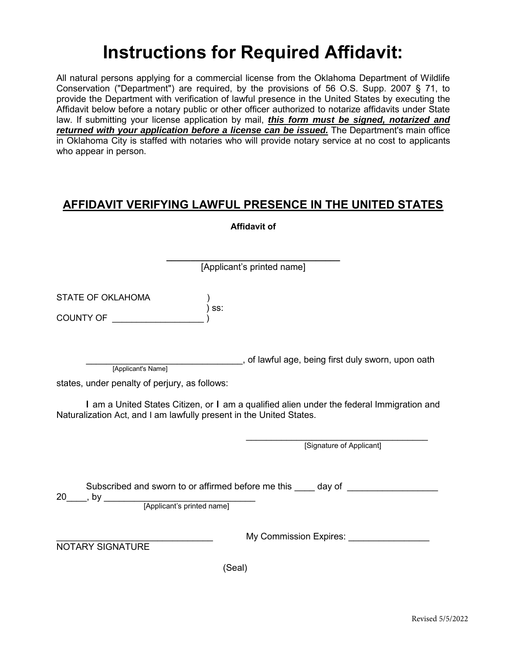# **Instructions for Required Affidavit:**

All natural persons applying for a commercial license from the Oklahoma Department of Wildlife Conservation ("Department") are required, by the provisions of 56 O.S. Supp. 2007 § 71, to provide the Department with verification of lawful presence in the United States by executing the Affidavit below before a notary public or other officer authorized to notarize affidavits under State law. If submitting your license application by mail, *this form must be signed, notarized and returned with your application before a license can be issued.* The Department's main office in Oklahoma City is staffed with notaries who will provide notary service at no cost to applicants who appear in person.

### **AFFIDAVIT VERIFYING LAWFUL PRESENCE IN THE UNITED STATES**

|                                                                     | <b>Affidavit of</b>                                                                                                                                             |  |  |
|---------------------------------------------------------------------|-----------------------------------------------------------------------------------------------------------------------------------------------------------------|--|--|
|                                                                     | [Applicant's printed name]                                                                                                                                      |  |  |
| <b>STATE OF OKLAHOMA</b><br>COUNTY OF                               | SS:                                                                                                                                                             |  |  |
| [Applicant's Name]<br>states, under penalty of perjury, as follows: | ________________, of lawful age, being first duly sworn, upon oath<br>I am a United States Citizen, or I am a qualified alien under the federal Immigration and |  |  |
| Naturalization Act, and I am lawfully present in the United States. | [Signature of Applicant]                                                                                                                                        |  |  |
|                                                                     | Subscribed and sworn to or affirmed before me this day of                                                                                                       |  |  |
| <b>NOTARY SIGNATURE</b>                                             | My Commission Expires: ________                                                                                                                                 |  |  |
|                                                                     | (Seal)                                                                                                                                                          |  |  |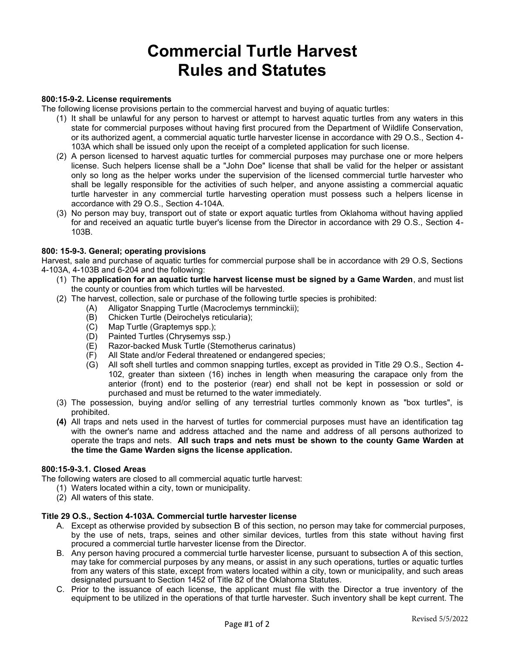# **Commercial Turtle Harvest Rules and Statutes**

#### **800:15-9-2. License requirements**

The following license provisions pertain to the commercial harvest and buying of aquatic turtles:

- (1) It shall be unlawful for any person to harvest or attempt to harvest aquatic turtles from any waters in this state for commercial purposes without having first procured from the Department of Wildlife Conservation, or its authorized agent, a commercial aquatic turtle harvester license in accordance with 29 O.S., Section 4- 103A which shall be issued only upon the receipt of a completed application for such license.
- (2) A person licensed to harvest aquatic turtles for commercial purposes may purchase one or more helpers license. Such helpers license shall be a "John Doe" license that shall be valid for the helper or assistant only so long as the helper works under the supervision of the licensed commercial turtle harvester who shall be legally responsible for the activities of such helper, and anyone assisting a commercial aquatic turtle harvester in any commercial turtle harvesting operation must possess such a helpers license in accordance with 29 O.S., Section 4-104A.
- (3) No person may buy, transport out of state or export aquatic turtles from Oklahoma without having applied for and received an aquatic turtle buyer's license from the Director in accordance with 29 O.S., Section 4- 103B.

### **800: 15-9-3. General; operating provisions**

Harvest, sale and purchase of aquatic turtles for commercial purpose shall be in accordance with 29 O.S, Sections 4-103A, 4-103B and 6-204 and the following:

- (1) The **application for an aquatic turtle harvest license must be signed by a Game Warden**, and must list the county or counties from which turtles will be harvested.
- (2) The harvest, collection, sale or purchase of the following turtle species is prohibited:
	- (A) Alligator Snapping Turtle (Macroclemys ternminckii);
		- (B) Chicken Turtle (Deirochelys reticularia);<br>(C) Map Turtle (Graptemys spp.);
		- Map Turtle (Graptemys spp.);
		- (D) Painted Turtles (Chrysemys ssp.)
		- (E) Razor-backed Musk Turtle (Stemotherus carinatus)<br>(F) All State and/or Federal threatened or endangered s
		- All State and/or Federal threatened or endangered species;
		- (G) All soft shell turtles and common snapping turtles, except as provided in Title 29 O.S., Section 4- 102, greater than sixteen (16) inches in length when measuring the carapace only from the anterior (front) end to the posterior (rear) end shall not be kept in possession or sold or purchased and must be returned to the water immediately.
- (3) The possession, buying and/or selling of any terrestrial turtles commonly known as "box turtles", is prohibited.
- **(4)** All traps and nets used in the harvest of turtles for commercial purposes must have an identification tag with the owner's name and address attached and the name and address of all persons authorized to operate the traps and nets. **All such traps and nets must be shown to the county Game Warden at the time the Game Warden signs the license application.**

#### **800:15-9-3.1. Closed Areas**

The following waters are closed to all commercial aquatic turtle harvest:

- (1) Waters located within a city, town or municipality.
- (2) All waters of this state.

#### **Title 29 O.S., Section 4-103A. Commercial turtle harvester license**

- A. Except as otherwise provided by subsection B of this section, no person may take for commercial purposes, by the use of nets, traps, seines and other similar devices, turtles from this state without having first procured a commercial turtle harvester license from the Director.
- B. Any person having procured a commercial turtle harvester license, pursuant to subsection A of this section, may take for commercial purposes by any means, or assist in any such operations, turtles or aquatic turtles from any waters of this state, except from waters located within a city, town or municipality, and such areas designated pursuant to Section 1452 of Title 82 of the Oklahoma Statutes.
- C. Prior to the issuance of each license, the applicant must file with the Director a true inventory of the equipment to be utilized in the operations of that turtle harvester. Such inventory shall be kept current. The